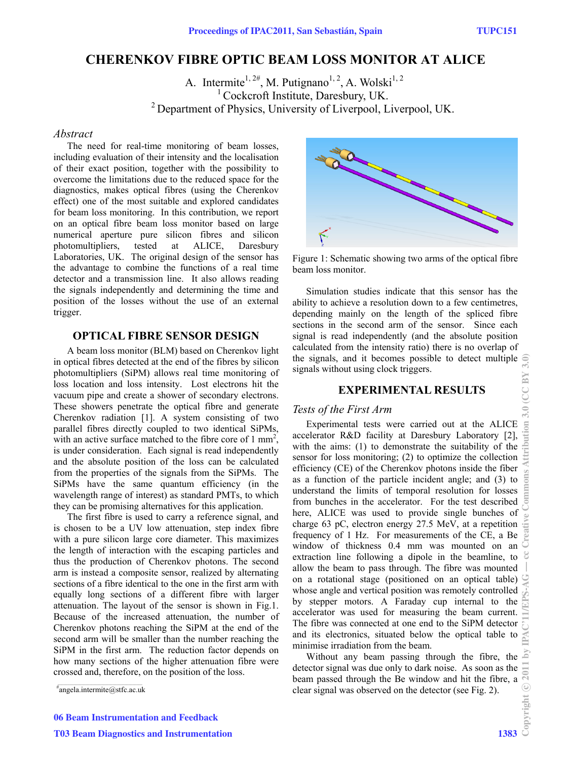# **CHERENKOV FIBRE OPTIC BEAM LOSS MONITOR AT ALICE**

A. Intermite<sup>1, 2#</sup>, M. Putignano<sup>1, 2</sup>, A. Wolski<sup>1, 2</sup> <sup>1</sup> Cockcroft Institute, Daresbury, UK.  $^{2}$  Department of Physics, University of Liverpool, Liverpool, UK.

#### *Abstract*

The need for real-time monitoring of beam losses, including evaluation of their intensity and the localisation of their exact position, together with the possibility to overcome the limitations due to the reduced space for the diagnostics, makes optical fibres (using the Cherenkov effect) one of the most suitable and explored candidates for beam loss monitoring. In this contribution, we report on an optical fibre beam loss monitor based on large numerical aperture pure silicon fibres and silicon photomultipliers, tested at ALICE, Daresbury Laboratories, UK. The original design of the sensor has the advantage to combine the functions of a real time detector and a transmission line. It also allows reading the signals independently and determining the time and position of the losses without the use of an external trigger.

## **OPTICAL FIBRE SENSOR DESIGN**

A beam loss monitor (BLM) based on Cherenkov light in optical fibres detected at the end of the fibres by silicon photomultipliers (SiPM) allows real time monitoring of loss location and loss intensity. Lost electrons hit the vacuum pipe and create a shower of secondary electrons. These showers penetrate the optical fibre and generate Cherenkov radiation [1]. A system consisting of two parallel fibres directly coupled to two identical SiPMs, with an active surface matched to the fibre core of  $1 \text{ mm}^2$ , is under consideration. Each signal is read independently and the absolute position of the loss can be calculated from the properties of the signals from the SiPMs. The SiPMs have the same quantum efficiency (in the wavelength range of interest) as standard PMTs, to which they can be promising alternatives for this application.

The first fibre is used to carry a reference signal, and is chosen to be a UV low attenuation, step index fibre with a pure silicon large core diameter. This maximizes the length of interaction with the escaping particles and thus the production of Cherenkov photons. The second arm is instead a composite sensor, realized by alternating sections of a fibre identical to the one in the first arm with equally long sections of a different fibre with larger attenuation. The layout of the sensor is shown in Fig.1. Because of the increased attenuation, the number of Cherenkov photons reaching the SiPM at the end of the second arm will be smaller than the number reaching the SiPM in the first arm. The reduction factor depends on how many sections of the higher attenuation fibre were crossed and, therefore, on the position of the loss.



Figure 1: Schematic showing two arms of the optical fibre beam loss monitor.

Simulation studies indicate that this sensor has the ability to achieve a resolution down to a few centimetres, depending mainly on the length of the spliced fibre sections in the second arm of the sensor. Since each signal is read independently (and the absolute position calculated from the intensity ratio) there is no overlap of the signals, and it becomes possible to detect multiple signals without using clock triggers.

# **EXPERIMENTAL RESULTS**

#### *Tests of the First Arm*

**EXPERIMENTAL RESULTS**<br>
EXPERIMENTAL RESULTS<br>
sts of the First Arm<br>
Experimental tests were carried out at the ALICE<br>
elerator R&D facility at Daresbury Laboratory [2],<br>
h the aims: (1) to demonstrate the suitability of t accelerator R&D facility at Daresbury Laboratory [2], with the aims: (1) to demonstrate the suitability of the sensor for loss monitoring; (2) to optimize the collection efficiency (CE) of the Cherenkov photons inside the fiber as a function of the particle incident angle; and (3) to understand the limits of temporal resolution for losses from bunches in the accelerator. For the test described here, ALICE was used to provide single bunches of charge 63 pC, electron energy 27.5 MeV, at a repetition frequency of 1 Hz. For measurements of the CE, a Be window of thickness 0.4 mm was mounted on an extraction line following a dipole in the beamline, to allow the beam to pass through. The fibre was mounted on a rotational stage (positioned on an optical table) whose angle and vertical position was remotely controlled by stepper motors. A Faraday cup internal to the accelerator was used for measuring the beam current. The fibre was connected at one end to the SiPM detector and its electronics, situated below the optical table to minimise irradiation from the beam.

Without any beam passing through the fibre, the detector signal was due only to dark noise. As soon as the beam passed through the Be window and hit the fibre, a clear signal was observed on the detector (see Fig. 2).

<sup>#</sup> angela.intermite@stfc.ac.uk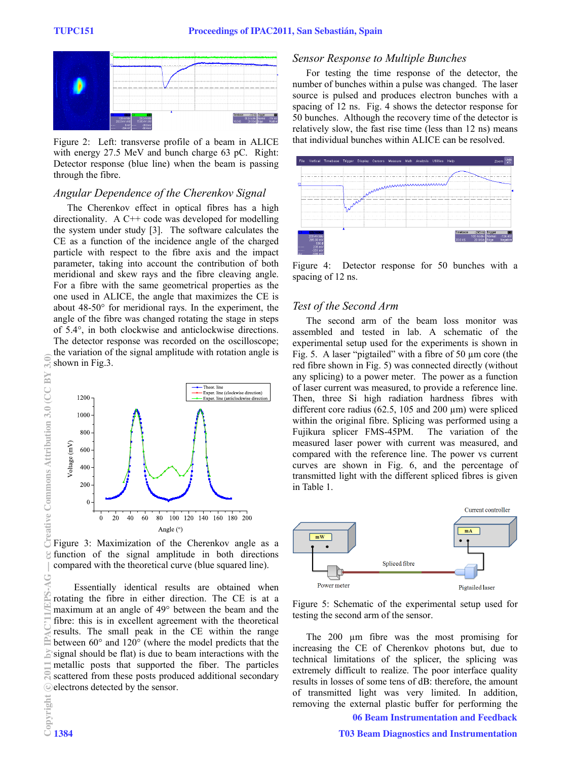

Figure 2: Left: transverse profile of a beam in ALICE with energy 27.5 MeV and bunch charge 63 pC. Right: Detector response (blue line) when the beam is passing through the fibre.

#### *Angular Dependence of the Cherenkov Signal*

The Cherenkov effect in optical fibres has a high directionality. A C++ code was developed for modelling the system under study [3]. The software calculates the CE as a function of the incidence angle of the charged particle with respect to the fibre axis and the impact parameter, taking into account the contribution of both meridional and skew rays and the fibre cleaving angle. For a fibre with the same geometrical properties as the one used in ALICE, the angle that maximizes the CE is about 48-50° for meridional rays. In the experiment, the angle of the fibre was changed rotating the stage in steps of 5.4°, in both clockwise and anticlockwise directions. The detector response was recorded on the oscilloscope; the variation of the signal amplitude with rotation angle is shown in Fig.3.



Figure 3: Maximization of the Cherenkov angle as a function of the signal amplitude in both directions compared with the theoretical curve (blue squared line).

Essentially identical results are obtained when rotating the fibre in either direction. The CE is at a maximum at an angle of 49° between the beam and the fibre: this is in excellent agreement with the theoretical results. The small peak in the CE within the range between 60° and 120° (where the model predicts that the signal should be flat) is due to beam interactions with the metallic posts that supported the fiber. The particles scattered from these posts produced additional secondary electrons detected by the sensor.

#### *Sensor Response to Multiple Bunches*

For testing the time response of the detector, the number of bunches within a pulse was changed. The laser source is pulsed and produces electron bunches with a spacing of 12 ns. Fig. 4 shows the detector response for 50 bunches. Although the recovery time of the detector is relatively slow, the fast rise time (less than 12 ns) means that individual bunches within ALICE can be resolved.



Figure 4: Detector response for 50 bunches with a spacing of 12 ns.

## *Test of the Second Arm*

The second arm of the beam loss monitor was assembled and tested in lab. A schematic of the experimental setup used for the experiments is shown in Fig. 5. A laser "pigtailed" with a fibre of 50 µm core (the red fibre shown in Fig. 5) was connected directly (without any splicing) to a power meter. The power as a function of laser current was measured, to provide a reference line. Then, three Si high radiation hardness fibres with different core radius (62.5, 105 and 200  $\mu$ m) were spliced within the original fibre. Splicing was performed using a Fujikura splicer FMS-45PM. The variation of the measured laser power with current was measured, and compared with the reference line. The power vs current curves are shown in Fig. 6, and the percentage of transmitted light with the different spliced fibres is given in Table 1.



Figure 5: Schematic of the experimental setup used for testing the second arm of the sensor.

The 200  $\mu$ m fibre was the most promising for increasing the CE of Cherenkov photons but, due to technical limitations of the splicer, the splicing was extremely difficult to realize. The poor interface quality results in losses of some tens of dB: therefore, the amount of transmitted light was very limited. In addition, removing the external plastic buffer for performing the

06 Beam Instrumentation and Feedback

c○

 $\approx$ 

z

 $\widehat{\mathbf{z}}$ 

Creative Commons Attribution 3.0 (CC BY